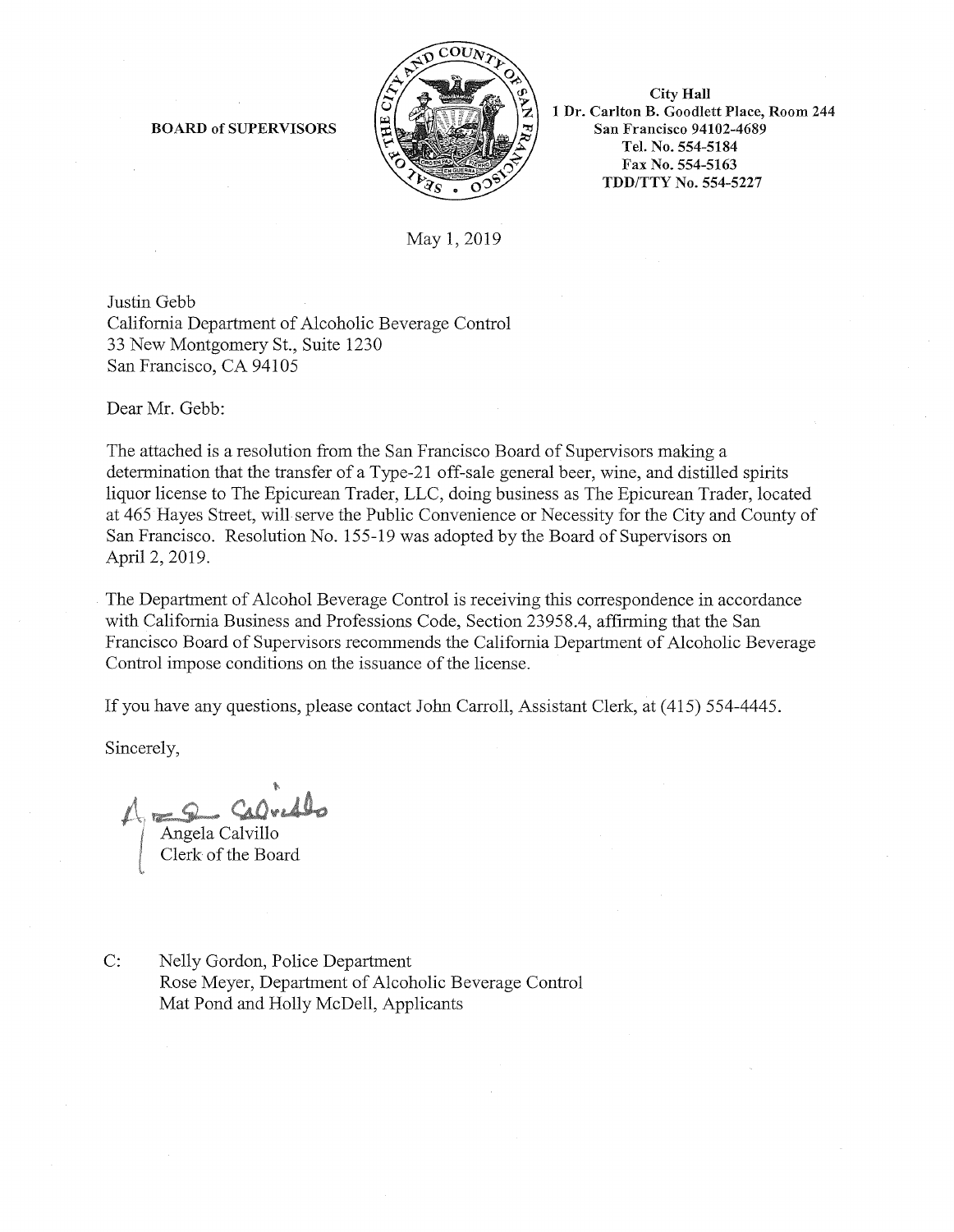

City Hall 1 Dr. Carlton B. Goodlett Place, Room 244 San Francisco 94102-4689 Tel. No. 554-5184 Fax No. 554-5163 TDD/TTY No. 554-5227

# May 1, 2019

Justin Gebb California Department of Alcoholic Beverage Control 33 New Montgomery St., Suite 1230 San Francisco, CA 94105

BOARD of SUPERVISORS

Dear Mr. Gebb:

The attached is a resolution from the San Francisco Board of Supervisors making a determination that the transfer of a Type-21 off-sale general beer, wine, and distilled spirits liquor license to The Epicurean Trader, LLC, doing business as The Epicurean Trader, located at 465 Hayes Street, will serve the Public Convenience or Necessity for the City and County of San Francisco. Resolution No. 155-19 was adopted by the Board of Supervisors on April 2, 2019.

The Department of Alcohol Beverage Control is receiving this correspondence in accordance with California Business and Professions Code, Section 23958.4, affirming that the San Francisco Board of Supervisors recommends the California Department of Alcoholic Beverage Control impose conditions on the issuance of the license.

If you have any questions, please contact John Carroll, Assistant Clerk, at (415) 554-4445.

Sincerely,

Calvedlo Angela Calvillo Clerk of the Board

C: Nelly Gordon, Police Department Rose Meyer, Department of Alcoholic Beverage Control Mat Pond and Holly McDell, Applicants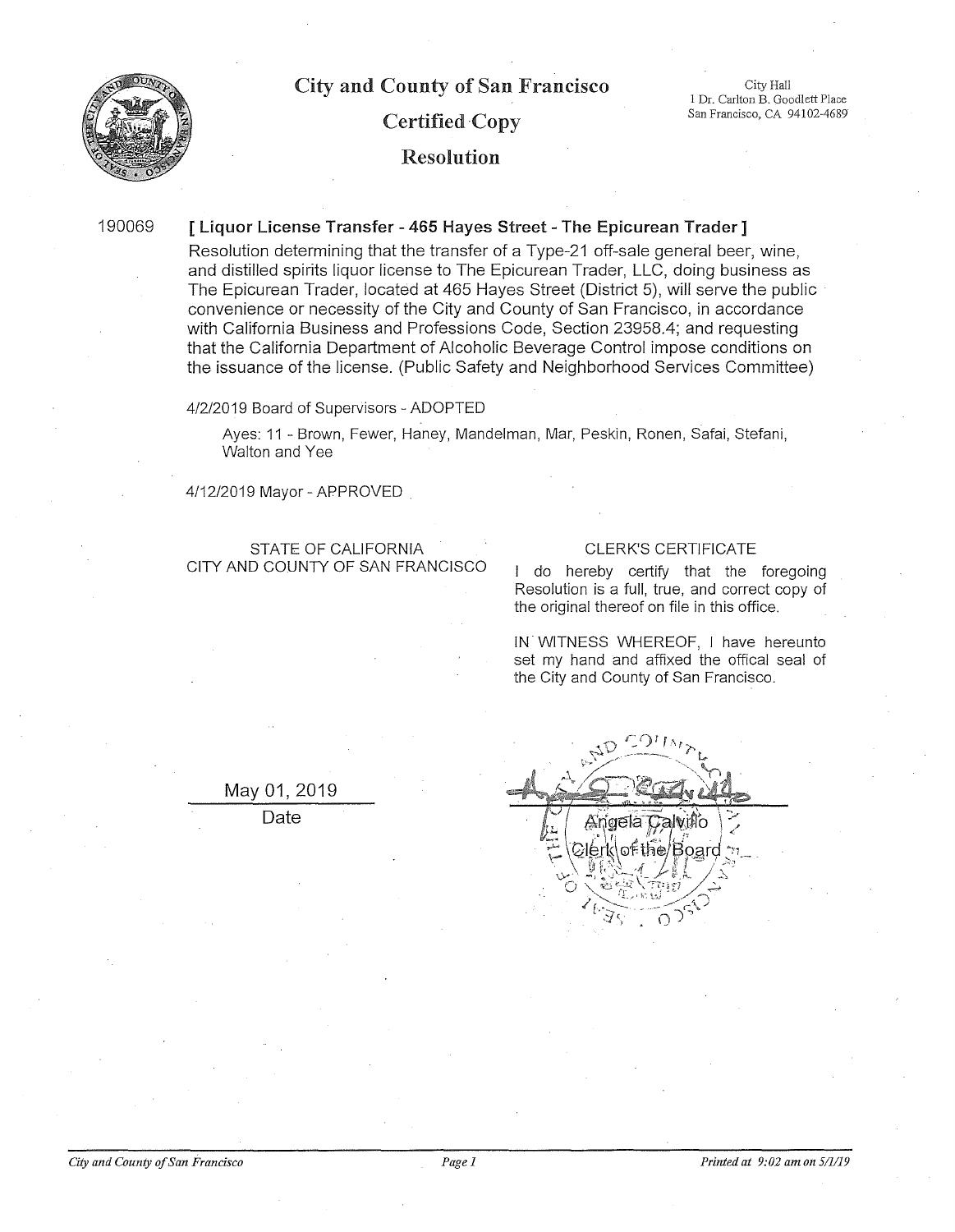

City Hall 1 Dr. Carlton B. Goodlett Place San Francisco, CA 94102-4689

# Certified Copy

# Resolution

190069

### [ Liquor License Transfer - 465 Hayes Street - The Epicurean Trader ]

Resolution determining that the transfer of a Type-21 off-sale general beer, wine, and distilled spirits liquor license to The Epicurean Trader, LLC, doing business as The Epicurean Trader, located at 465 Haves Street (District 5), will serve the public convenience or necessity of the City and County of San Francisco, in accordance with California Business and Professions Code, Section 23958.4; and requesting that the California Department of Alcoholic Beverage Control impose conditions on the issuance of the license. (Public Safety and Neighborhood Services Committee)

4/2/2019 Board of Supervisors - ADOPTED

Ayes: 11 - Brown, Fewer, Haney, Mandelman, Mar, Peskin, Ronen, Safai, Stefani, Walton and Yee

4/12/2019 Mayor-APPROVED

STATE OF CALIFORNIA CITY AND COUNTY OF SAN FRANCISCO

#### CLERK'S CERTIFICATE

I do hereby certify that the foregoing Resolution is a full, true, and correct copy of the original thereof on file in this office.

IN. WITNESS WHEREOF, I have hereunto set my hand and affixed the offical seal of the City and County of San Francisco.

May 01, 2019

Date

| - 6<br>Offer                    |  |
|---------------------------------|--|
| Ange<br>of the<br>୍ତ<br>74<br>5 |  |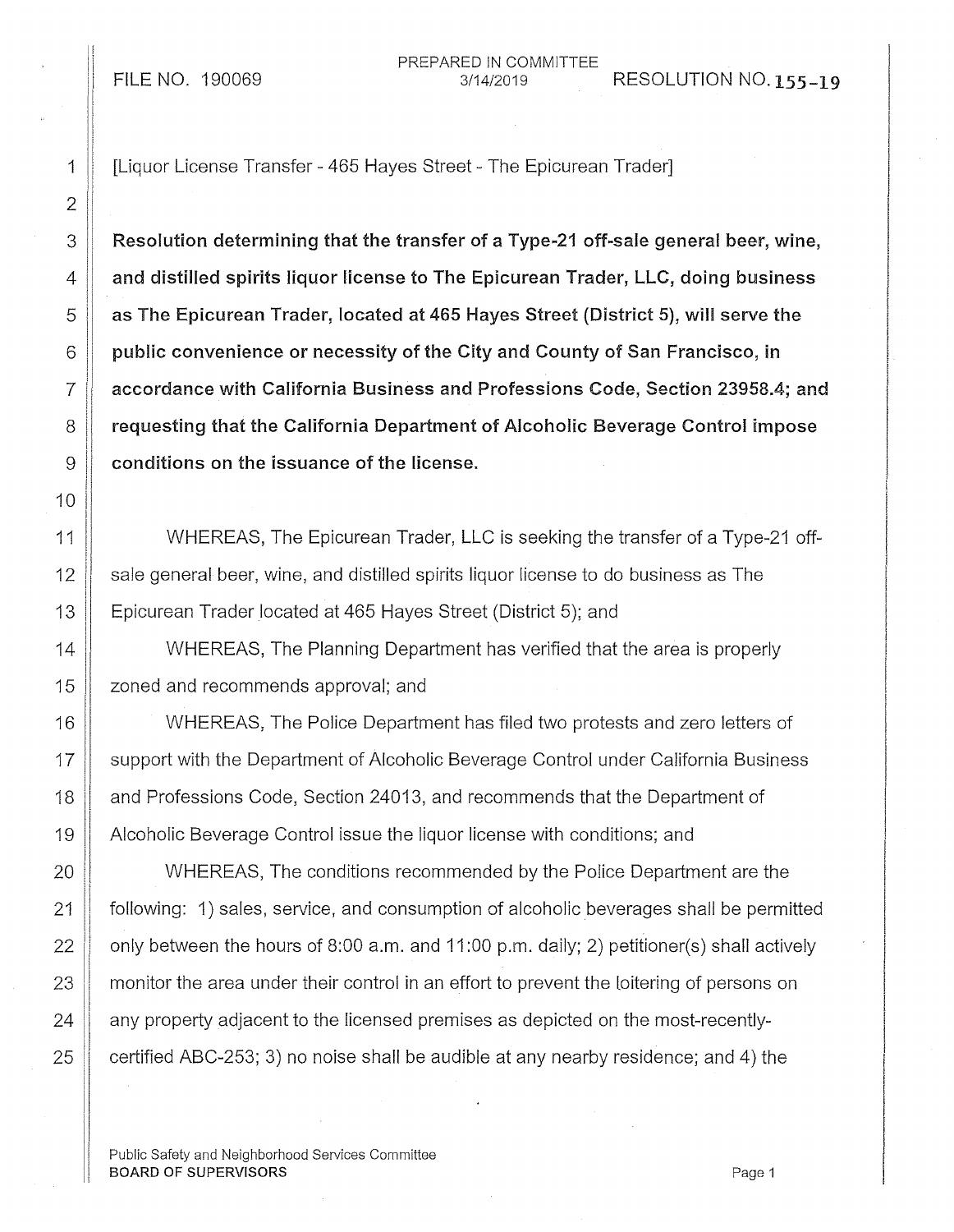PREPARED IN COMMITTEE FILE NO. 190069 3/14/2019 RESOLUTION NO. 155-19

2 10

1 | [Liquor License Transfer - 465 Hayes Street - The Epicurean Trader]

 $3 \parallel$  Resolution determining that the transfer of a Type-21 off-sale general beer, wine,  $4 \parallel$  and distilled spirits liquor license to The Epicurean Trader, LLC, doing business  $5$   $\parallel$  as The Epicurean Trader, located at 465 Hayes Street (District 5), will serve the  $6 \parallel$  public convenience or necessity of the City and County of San Francisco, in  $7 \parallel$  accordance with California Business and Professions Code, Section 23958.4; and 8 **8 Team** 8 **reguesting that the California Department of Alcoholic Beverage Control impose**  $9$   $\parallel$  conditions on the issuance of the license.

11 WHEREAS, The Epicurean Trader, LLC is seeking the transfer of a Type-21 off- $12$  sale general beer, wine, and distilled spirits liquor license to do business as The 13 **Epicurean Trader located at 465 Hayes Street (District 5); and** 

14 WHEREAS, The Planning Department has verified that the area is properly 15 **L** zoned and recommends approval; and

16 WHEREAS, The Police Department has filed two protests and zero letters of 17 || support with the Department of Alcoholic Beverage Control under California Business 18 **and Professions Code, Section 24013, and recommends that the Department of** 19 Alcoholic Beverage Control issue the liquor license with conditions; and

**WHEREAS, The conditions recommended by the Police Department are the** 21 following: 1) sales, service, and consumption of alcoholic beverages shall be permitted  $\parallel$  only between the hours of 8:00 a.m. and 11:00 p.m. daily; 2) petitioner(s) shall actively **monitor the area under their control in an effort to prevent the loitering of persons on**   $\parallel$  any property adjacent to the licensed premises as depicted on the most-recently- $\parallel$  certified ABC-253; 3) no noise shall be audible at any nearby residence; and 4) the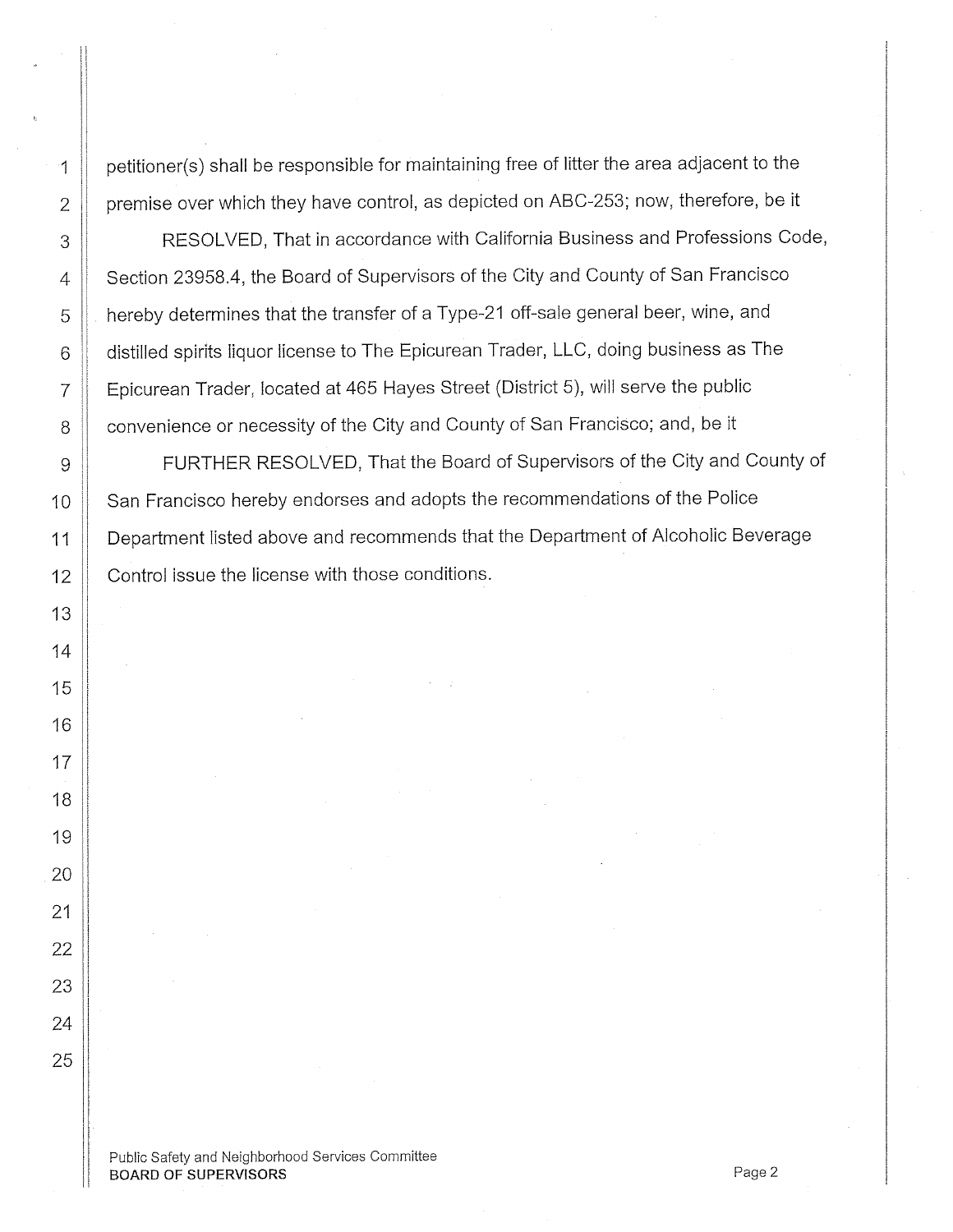1 | petitioner(s) shall be responsible for maintaining free of litter the area adjacent to the  $2 \parallel$  premise over which they have control, as depicted on ABC-253; now, therefore, be it

3 || RESOLVED, That in accordance with California Business and Professions Code, 4 | Section 23958.4, the Board of Supervisors of the City and County of San Francisco 5  $\parallel$  hereby determines that the transfer of a Type-21 off-sale general beer, wine, and 6 | distilled spirits liquor license to The Epicurean Trader, LLC, doing business as The  $7$   $\parallel$  Epicurean Trader, located at 465 Hayes Street (District 5), will serve the public 8 | convenience or necessity of the City and County of San Francisco; and, be it

9 | FURTHER RESOLVED, That the Board of Supervisors of the City and County of 10 San Francisco hereby endorses and adopts the recommendations of the Police 11 Department listed above and recommends that the Department of Alcoholic Beverage 12 **Control issue the license with those conditions.**